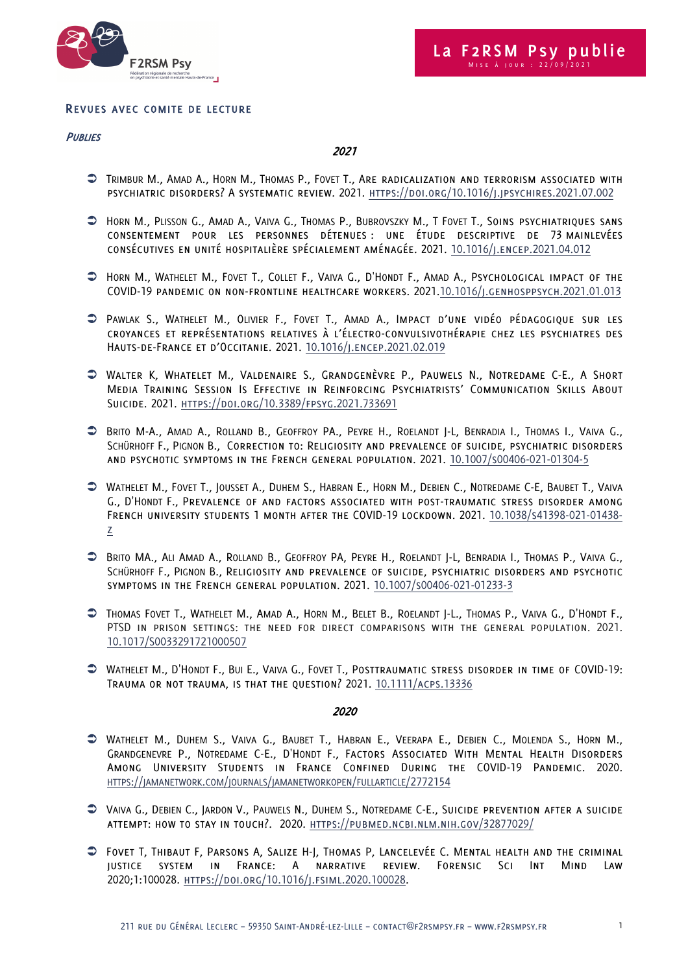

## REVUES AVEC COMITE DE LECTURE

#### **PUBLIES**

2021

- Ü TRIMBUR M., AMAD A., HORN M., THOMAS P., FOVET T., Are radicalization and terrorism associated with PSYCHIATRIC DISORDERS? A SYSTEMATIC REVIEW. 2021. HTTPS://DOI.ORG/10.1016/J.JPSYCHIRES.2021.07.002
- $\supset$  Horn M., Plisson G., Amad A., Vaiva G., Thomas P., Bubrovszky M., T Fovet T., Soins psychiatriques sans consentement pour les personnes détenues : une étude descriptive de 73 mainlevées consécutives en unité hospitalière spécialement aménagée. 2021. 10.1016/j.encep.2021.04.012
- Ü HORN M., WATHELET M., FOVET T., COLLET F., VAIVA G., D'HONDT F., AMAD A., Psychological impact of the COVID-19 pandemic on non-frontline healthcare workers. 2021.10.1016/j.genhosppsych.2021.01.013
- Ü PAWLAK S., WATHELET M., OLIVIER F., FOVET T., AMAD A., Impact d'une vidéo pédagogique sur les croyances et représentations relatives à l'électro-convulsivothérapie chez les psychiatres des Hauts-de-France et d'Occitanie. 2021. 10.1016/j.encep.2021.02.019
- Ü Walter K, Whatelet M., Valdenaire S., Grandgenèvre P., Pauwels N., Notredame C-E., A Short Media Training Session Is Effective in Reinforcing Psychiatrists' Communication Skills About Suicide. 2021. https://doi.org/10.3389/fpsyg.2021.733691
- Ü BRITO M-A., AMAD A., ROLLAND B., GEOFFROY PA., PEYRE H., ROELANDT J-L, BENRADIA I., THOMAS I., VAIVA G., SCHÜRHOFF F., PIGNON B., Correction to: Religiosity and prevalence of suicide, psychiatric disorders and psychotic symptoms in the French general population. 2021. 10.1007/s00406-021-01304-5
- Ü WATHELET M., FOVET T., JOUSSET A., DUHEM S., HABRAN E., HORN M., DEBIEN C., NOTREDAME C-E, BAUBET T., VAIVA G., D'HONDT F., Prevalence of and factors associated with post-traumatic stress disorder among French university students 1 month after the COVID-19 lockdown. 2021. 10.1038/s41398-021-01438 z
- Ü BRITO MA., ALI AMAD A., ROLLAND B., GEOFFROY PA, PEYRE H., ROELANDT J-L, BENRADIA I., THOMAS P., VAIVA G., SCHÜRHOFF F., PIGNON B., Religiosity and prevalence of suicide, psychiatric disorders and psychotic symptoms in the French general population. 2021. 10.1007/s00406-021-01233-3
- Ü THOMAS FOVET T., WATHELET M., AMAD A., HORN M., BELET B., ROELANDT J-L., THOMAS P., VAIVA G., D'HONDT F., PTSD in prison settings: the need for direct comparisons with the general population. 2021. 10.1017/S0033291721000507
- Ü WATHELET M., D'HONDT F., BUI E., VAIVA G., FOVET T., Posttraumatic stress disorder in time of COVID-19: Trauma or not trauma, is that the question? 2021. 10.1111/acps.13336

- Ü WATHELET M., DUHEM S., VAIVA G., BAUBET T., HABRAN E., VEERAPA E., DEBIEN C., MOLENDA S., HORN M., GRANDGENEVRE P., NOTREDAME C-E., D'HONDT F., Factors Associated With Mental Health Disorders Among University Students in France Confined During the COVID-19 Pandemic. 2020. HTTPS://JAMANETWORK.COM/JOURNALS/JAMANETWORKOPEN/FULLARTICLE/2772154
- Ü VAIVA G., DEBIEN C., JARDON V., PAUWELS N., DUHEM S., NOTREDAME C-E., Suicide prevention after a suicide attempt: how to stay in touch?. 2020. https://pubmed.ncbi.nlm.nih.gov/32877029/
- Ü Fovet T, Thibaut F, Parsons A, Salize H-J, Thomas P, Lancelevée C. Mental health and the criminal justice system in France: A narrative review. Forensic Sci Int Mind Law 2020;1:100028. https://doi.org/10.1016/j.fsiml.2020.100028.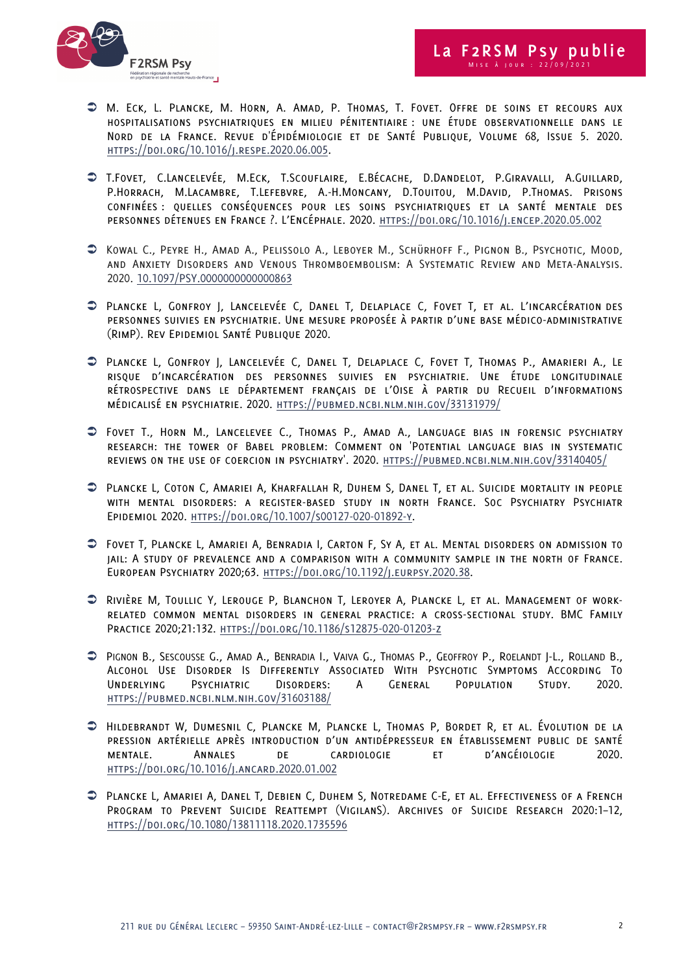



- Ü M. Eck, L. Plancke, M. Horn, A. Amad, P. Thomas, T. Fovet. Offre de soins et recours aux hospitalisations psychiatriques en milieu pénitentiaire : une étude observationnelle dans le Nord de la France. Revue d'Épidémiologie et de Santé Publique, Volume 68, Issue 5. 2020. https://doi.org/10.1016/j.respe.2020.06.005.
- Ü T.Fovet, C.Lancelevée, M.Eck, T.Scouflaire, E.Bécache, D.Dandelot, P.Giravalli, A.Guillard, P.Horrach, M.Lacambre, T.Lefebvre, A.-H.Moncany, D.Touitou, M.David, P.Thomas. Prisons confinées : quelles conséquences pour les soins psychiatriques et la santé mentale des personnes détenues en France ?. L'Encéphale. 2020. https://doi.org/10.1016/j.encep.2020.05.002
- Ü Kowal C., Peyre H., Amad A., Pelissolo A., Leboyer M., Schürhoff F., Pignon B., Psychotic, Mood, and Anxiety Disorders and Venous Thromboembolism: A Systematic Review and Meta-Analysis. 2020. 10.1097/PSY.0000000000000863
- Ü Plancke L, Gonfroy J, Lancelevée C, Danel T, Delaplace C, Fovet T, et al. L'incarcération des personnes suivies en psychiatrie. Une mesure proposée à partir d'une base médico-administrative (RimP). Rev Epidemiol Santé Publique 2020.
- Ü Plancke L, Gonfroy J, Lancelevée C, Danel T, Delaplace C, Fovet T, Thomas P., Amarieri A., Le risque d'incarcération des personnes suivies en psychiatrie. Une étude longitudinale rétrospective dans le département français de l'Oise à partir du Recueil d'informations médicalisé en psychiatrie. 2020. https://pubmed.ncbi.nlm.nih.gov/33131979/
- Ü Fovet T., Horn M., Lancelevee C., Thomas P., Amad A., Language bias in forensic psychiatry research: the tower of Babel problem: Comment on 'Potential language bias in systematic reviews on the use of coercion in psychiatry'. 2020. https://pubmed.ncbi.nlm.nih.gov/33140405/
- Ü Plancke L, Coton C, Amariei A, Kharfallah R, Duhem S, Danel T, et al. Suicide mortality in people with mental disorders: a register-based study in north France. Soc Psychiatry Psychiatr Epidemiol 2020. https://doi.org/10.1007/s00127-020-01892-y.
- Ü Fovet T, Plancke L, Amariei A, Benradia I, Carton F, Sy A, et al. Mental disorders on admission to jail: A study of prevalence and a comparison with a community sample in the north of France. European Psychiatry 2020;63. https://doi.org/10.1192/j.eurpsy.2020.38.
- Ü Rivière M, Toullic Y, Lerouge P, Blanchon T, Leroyer A, Plancke L, et al. Management of workrelated common mental disorders in general practice: a cross-sectional study. BMC Family Practice 2020;21:132. https://doi.org/10.1186/s12875-020-01203-z
- Ü PIGNON B., SESCOUSSE G., AMAD A., BENRADIA I., VAIVA G., THOMAS P., GEOFFROY P., ROELANDT J-L., ROLLAND B., Alcohol Use Disorder Is Differently Associated With Psychotic Symptoms According To Underlying Psychiatric Disorders: A General Population Study. 2020. https://pubmed.ncbi.nlm.nih.gov/31603188/
- Ü Hildebrandt W, Dumesnil C, Plancke M, Plancke L, Thomas P, Bordet R, et al. Évolution de la pression artérielle après introduction d'un antidépresseur en établissement public de santé mentale. Annales de cardiologie et d'angéiologie 2020. https://doi.org/10.1016/j.ancard.2020.01.002
- Ü Plancke L, Amariei A, Danel T, Debien C, Duhem S, Notredame C-E, et al. Effectiveness of a French Program to Prevent Suicide Reattempt (VigilanS). Archives of Suicide Research 2020:1–12, https://doi.org/10.1080/13811118.2020.1735596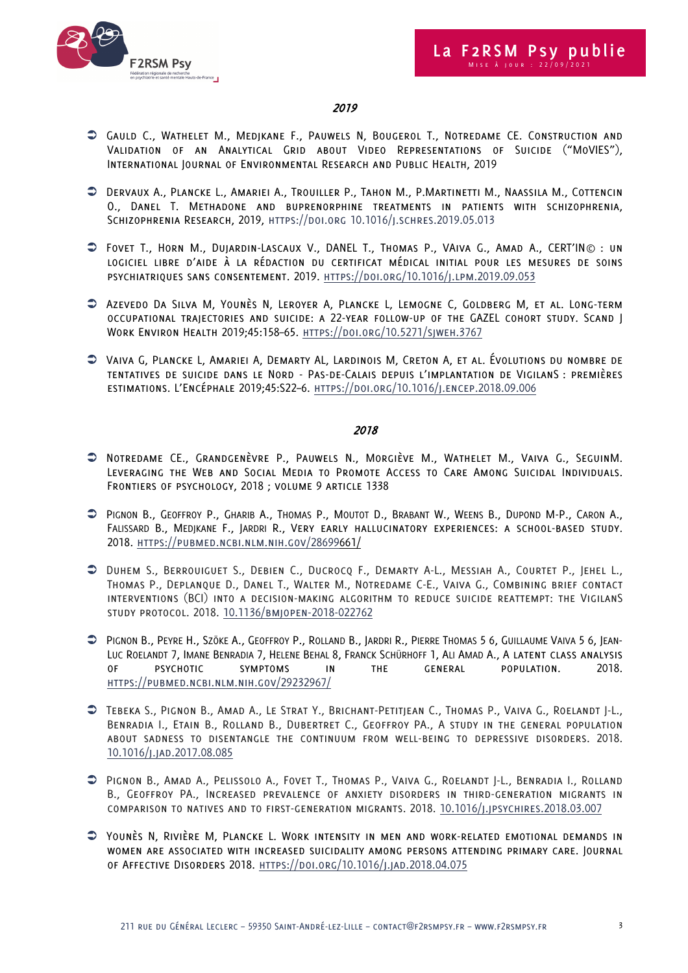

# 2019

- Ü Gauld C., Wathelet M., Medjkane F., Pauwels N, Bougerol T., Notredame CE. Construction and Validation of an Analytical Grid about Video Representations of Suicide ("MoVIES"), International Journal of Environmental Research and Public Health, 2019
- Ü Dervaux A., Plancke L., Amariei A., Trouiller P., Tahon M., P.Martinetti M., Naassila M., Cottencin O., Danel T. Methadone and buprenorphine treatments in patients with schizophrenia, Schizophrenia Research, 2019, https://doi.org 10.1016/j.schres.2019.05.013
- Ü Fovet T., Horn M., Dujardin-Lascaux V., DANEL T., Thomas P., VAiva G., Amad A., CERT'IN© : un logiciel libre d'aide à la rédaction du certificat médical initial pour les mesures de soins psychiatriques sans consentement. 2019. https://doi.org/10.1016/j.lpm.2019.09.053
- Ü Azevedo Da Silva M, Younès N, Leroyer A, Plancke L, Lemogne C, Goldberg M, et al. Long-term occupational trajectories and suicide: a 22-year follow-up of the GAZEL cohort study. Scand J Work Environ Health 2019;45:158–65. https://doi.org/10.5271/sjweh.3767
- Ü Vaiva G, Plancke L, Amariei A, Demarty AL, Lardinois M, Creton A, et al. Évolutions du nombre de tentatives de suicide dans le Nord - Pas-de-Calais depuis l'implantation de VigilanS : premières estimations. L'Encéphale 2019;45:S22–6. https://doi.org/10.1016/j.encep.2018.09.006

- Ü Notredame CE., Grandgenèvre P., Pauwels N., Morgiève M., Wathelet M., Vaiva G., SeguinM. Leveraging the Web and Social Media to Promote Access to Care Among Suicidal Individuals. Frontiers of psychology, 2018 ; volume 9 article 1338
- Ü PIGNON B., GEOFFROY P., GHARIB A., THOMAS P., MOUTOT D., BRABANT W., WEENS B., DUPOND M-P., CARON A., FALISSARD B., MEDJKANE F., JARDRI R., Very early hallucinatory experiences: a school-based study. 2018. https://pubmed.ncbi.nlm.nih.gov/28699661/
- Ü Duhem S., Berrouiguet S., Debien C., Ducrocq F., Demarty A-L., Messiah A., Courtet P., Jehel L., Thomas P., Deplanque D., Danel T., Walter M., Notredame C-E., Vaiva G., Combining brief contact interventions (BCI) into a decision-making algorithm to reduce suicide reattempt: the VigilanS study protocol. 2018. 10.1136/bmjopen-2018-022762
- Ü PIGNON B., PEYRE H., SZÖKE A., GEOFFROY P., ROLLAND B., JARDRI R., PIERRE THOMAS 5 6, GUILLAUME VAIVA 5 6, JEAN-LUC ROELANDT 7, IMANE BENRADIA 7, HELENE BEHAL 8, FRANCK SCHÜRHOFF 1, ALI AMAD A., A latent class analysis of psychotic symptoms in the general population. 2018. https://pubmed.ncbi.nlm.nih.gov/29232967/
- Ü Tebeka S., Pignon B., Amad A., Le Strat Y., Brichant-Petitjean C., Thomas P., Vaiva G., Roelandt J-L., Benradia I., Etain B., Rolland B., Dubertret C., Geoffroy PA., A study in the general population about sadness to disentangle the continuum from well-being to depressive disorders. 2018. 10.1016/j.jad.2017.08.085
- Ü Pignon B., Amad A., Pelissolo A., Fovet T., Thomas P., Vaiva G., Roelandt J-L., Benradia I., Rolland B., Geoffroy PA., Increased prevalence of anxiety disorders in third-generation migrants in comparison to natives and to first-generation migrants. 2018. 10.1016/j.jpsychires.2018.03.007
- Ü Younès N, Rivière M, Plancke L. Work intensity in men and work-related emotional demands in women are associated with increased suicidality among persons attending primary care. Journal of Affective Disorders 2018. https://doi.org/10.1016/j.jad.2018.04.075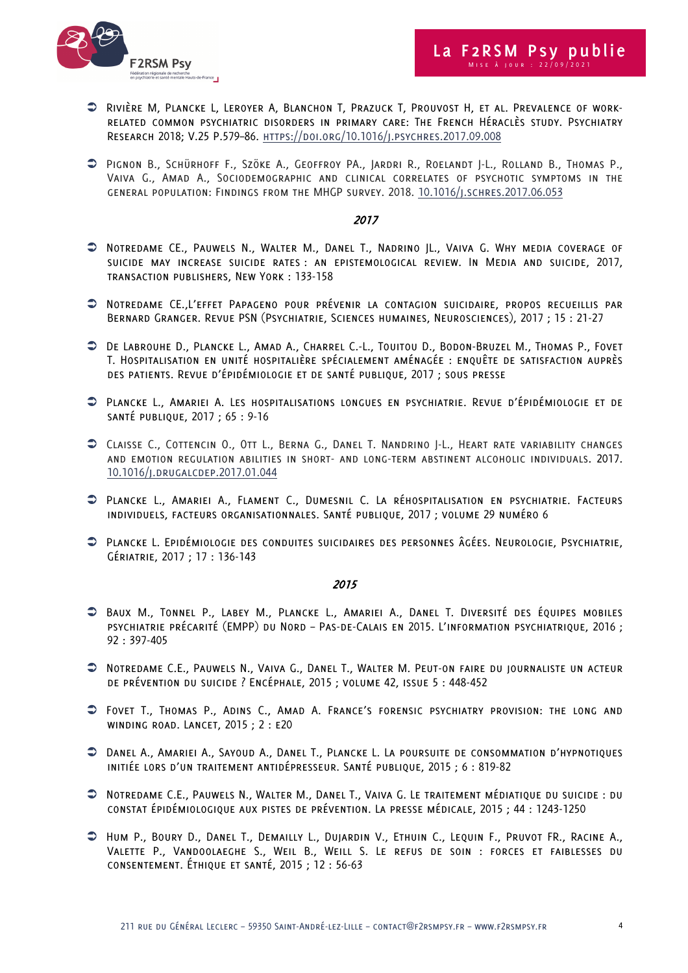

- Ü Rivière M, Plancke L, Leroyer A, Blanchon T, Prazuck T, Prouvost H, et al. Prevalence of workrelated common psychiatric disorders in primary care: The French Héraclès study. Psychiatry Research 2018; V.25 P.579–86. https://doi.org/10.1016/j.psychres.2017.09.008
- Ü Pignon B., Schürhoff F., Szöke A., Geoffroy PA., Jardri R., Roelandt J-L., Rolland B., Thomas P., Vaiva G., Amad A., Sociodemographic and clinical correlates of psychotic symptoms in the general population: Findings from the MHGP survey. 2018. 10.1016/j.schres.2017.06.053

### 2017

- Ü Notredame CE., Pauwels N., Walter M., Danel T., Nadrino JL., Vaiva G. Why media coverage of suicide may increase suicide rates : an epistemological review. In Media and suicide, 2017, transaction publishers, New York : 133-158
- Ü Notredame CE.,L'effet Papageno pour prévenir la contagion suicidaire, propos recueillis par Bernard Granger. Revue PSN (Psychiatrie, Sciences humaines, Neurosciences), 2017 ; 15 : 21-27
- Ü De Labrouhe D., Plancke L., Amad A., Charrel C.-L., Touitou D., Bodon-Bruzel M., Thomas P., Fovet T. Hospitalisation en unité hospitalière spécialement aménagée : enquête de satisfaction auprès des patients. Revue d'épidémiologie et de santé publique, 2017 ; sous presse
- Ü Plancke L., Amariei A. Les hospitalisations longues en psychiatrie. Revue d'épidémiologie et de santé publique, 2017 ; 65 : 9-16
- Ü Claisse C., Cottencin O., Ott L., Berna G., Danel T. Nandrino J-L., Heart rate variability changes and emotion regulation abilities in short- and long-term abstinent alcoholic individuals. 2017. 10.1016/j.drugalcdep.2017.01.044
- Ü Plancke L., Amariei A., Flament C., Dumesnil C. La réhospitalisation en psychiatrie. Facteurs individuels, facteurs organisationnales. Santé publique, 2017 ; volume 29 numéro 6
- Ü Plancke L. Epidémiologie des conduites suicidaires des personnes âgées. Neurologie, Psychiatrie, Gériatrie, 2017 ; 17 : 136-143

- Ü Baux M., Tonnel P., Labey M., Plancke L., Amariei A., Danel T. Diversité des équipes mobiles psychiatrie précarité (EMPP) du Nord – Pas-de-Calais en 2015. L'information psychiatrique, 2016 ; 92 : 397-405
- Ü Notredame C.E., Pauwels N., Vaiva G., Danel T., Walter M. Peut-on faire du journaliste un acteur de prévention du suicide ? Encéphale, 2015 ; volume 42, issue 5 : 448-452
- Ü Fovet T., Thomas P., Adins C., Amad A. France's forensic psychiatry provision: the long and winding road. Lancet, 2015 ; 2 : e20
- Ü Danel A., Amariei A., Sayoud A., Danel T., Plancke L. La poursuite de consommation d'hypnotiques initiée lors d'un traitement antidépresseur. Santé publique, 2015 ; 6 : 819-82
- Ü Notredame C.E., Pauwels N., Walter M., Danel T., Vaiva G. Le traitement médiatique du suicide : du constat épidémiologique aux pistes de prévention. La presse médicale, 2015 ; 44 : 1243-1250
- Ü Hum P., Boury D., Danel T., Demailly L., Dujardin V., Ethuin C., Lequin F., Pruvot FR., Racine A., Valette P., Vandoolaeghe S., Weil B., Weill S. Le refus de soin : forces et faiblesses du consentement. Éthique et santé, 2015 ; 12 : 56-63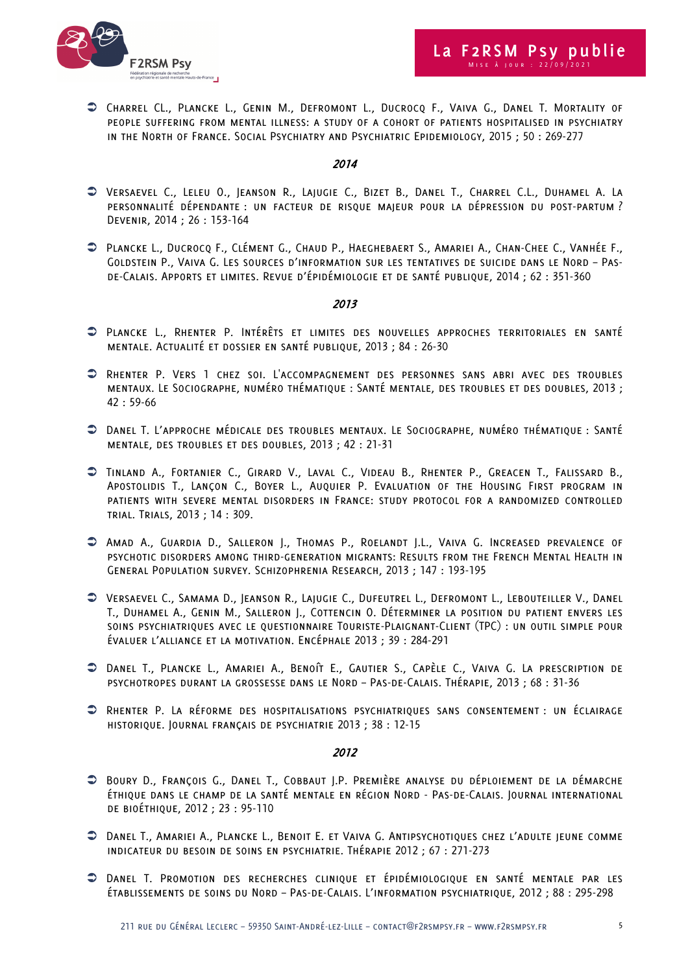

Ü Charrel CL., Plancke L., Genin M., Defromont L., Ducrocq F., Vaiva G., Danel T. Mortality of people suffering from mental illness: a study of a cohort of patients hospitalised in psychiatry in the North of France. Social Psychiatry and Psychiatric Epidemiology, 2015 ; 50 : 269-277

## 2014

- Ü Versaevel C., Leleu O., Jeanson R., Lajugie C., Bizet B., Danel T., Charrel C.L., Duhamel A. La personnalité dépendante : un facteur de risque majeur pour la dépression du post-partum ? Devenir, 2014 ; 26 : 153-164
- Ü Plancke L., Ducrocq F., Clément G., Chaud P., Haeghebaert S., Amariei A., Chan-Chee C., Vanhée F., Goldstein P., Vaiva G. Les sources d'information sur les tentatives de suicide dans le Nord – Pasde-Calais. Apports et limites. Revue d'épidémiologie et de santé publique, 2014 ; 62 : 351-360

### 2013

- Ü Plancke L., Rhenter P. Intérêts et limites des nouvelles approches territoriales en santé mentale. Actualité et dossier en santé publique, 2013 ; 84 : 26-30
- Ü Rhenter P. Vers 1 chez soi. L'accompagnement des personnes sans abri avec des troubles mentaux. Le Sociographe, numéro thématique : Santé mentale, des troubles et des doubles, 2013 ; 42 : 59-66
- Ü Danel T. L'approche médicale des troubles mentaux. Le Sociographe, numéro thématique : Santé mentale, des troubles et des doubles, 2013 ; 42 : 21-31
- Ü Tinland A., Fortanier C., Girard V., Laval C., Videau B., Rhenter P., Greacen T., Falissard B., Apostolidis T., Lançon C., Boyer L., Auquier P. Evaluation of the Housing First program in patients with severe mental disorders in France: study protocol for a randomized controlled trial. Trials, 2013 ; 14 : 309.
- Ü Amad A., Guardia D., Salleron J., Thomas P., Roelandt J.L., Vaiva G. Increased prevalence of psychotic disorders among third-generation migrants: Results from the French Mental Health in General Population survey. Schizophrenia Research, 2013 ; 147 : 193-195
- Ü Versaevel C., Samama D., Jeanson R., Lajugie C., Dufeutrel L., Defromont L., Lebouteiller V., Danel T., Duhamel A., Genin M., Salleron J., Cottencin O. Déterminer la position du patient envers les soins psychiatriques avec le questionnaire Touriste-Plaignant-Client (TPC) : un outil simple pour évaluer l'alliance et la motivation. Encéphale 2013 ; 39 : 284-291
- Ü Danel T., Plancke L., Amariei A., Benoît E., Gautier S., Capèle C., Vaiva G. La prescription de psychotropes durant la grossesse dans le Nord – Pas-de-Calais. Thérapie, 2013 ; 68 : 31-36
- Ü Rhenter P. La réforme des hospitalisations psychiatriques sans consentement : un éclairage historique. Journal français de psychiatrie 2013 ; 38 : 12-15

- Ü Boury D., François G., Danel T., Cobbaut J.P. Première analyse du déploiement de la démarche éthique dans le champ de la santé mentale en région Nord - Pas-de-Calais. Journal international de bioéthique, 2012 ; 23 : 95-110
- Ü Danel T., Amariei A., Plancke L., Benoit E. et Vaiva G. Antipsychotiques chez l'adulte jeune comme indicateur du besoin de soins en psychiatrie. Thérapie 2012 ; 67 : 271-273
- Ü Danel T. Promotion des recherches clinique et épidémiologique en santé mentale par les établissements de soins du Nord – Pas-de-Calais. L'information psychiatrique, 2012 ; 88 : 295-298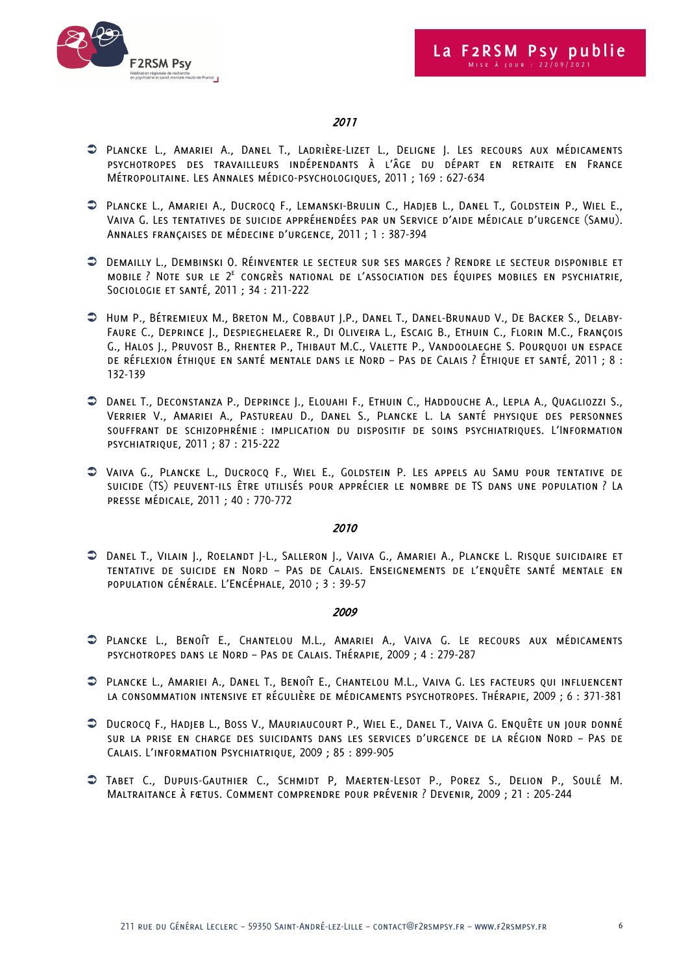



# 2011

- Ü Plancke L., Amariei A., Danel T., Ladrière-Lizet L., Deligne J. Les recours aux médicaments psychotropes des travailleurs indépendants à l'âge du départ en retraite en France Métropolitaine. Les Annales médico-psychologiques, 2011 ; 169 : 627-634
- Ü Plancke L., Amariei A., Ducrocq F., Lemanski-Brulin C., Hadjeb L., Danel T., Goldstein P., Wiel E., Vaiva G. Les tentatives de suicide appréhendées par un Service d'aide médicale d'urgence (Samu). Annales françaises de médecine d'urgence, 2011 ; 1 : 387-394
- Ü Demailly L., Dembinski O. Réinventer le secteur sur ses marges ? Rendre le secteur disponible et MOBILE ? NOTE SUR LE  $2^E$  CONGRÈS NATIONAL DE L'ASSOCIATION DES ÉQUIPES MOBILES EN PSYCHIATRIE, Sociologie et santé, 2011 ; 34 : 211-222
- Ü Hum P., Bétremieux M., Breton M., Cobbaut J.P., Danel T., Danel-Brunaud V., De Backer S., Delaby-Faure C., Deprince J., Despieghelaere R., Di Oliveira L., Escaig B., Ethuin C., Florin M.C., François G., Halos J., Pruvost B., Rhenter P., Thibaut M.C., Valette P., Vandoolaeghe S. Pourquoi un espace de réflexion éthique en santé mentale dans le Nord – Pas de Calais ? Éthique et santé, 2011 ; 8 : 132-139
- Ü Danel T., Deconstanza P., Deprince J., Elouahi F., Ethuin C., Haddouche A., Lepla A., Quagliozzi S., Verrier V., Amariei A., Pastureau D., Danel S., Plancke L. La santé physique des personnes souffrant de schizophrénie : implication du dispositif de soins psychiatriques. L'Information psychiatrique, 2011 ; 87 : 215-222
- Ü Vaiva G., Plancke L., Ducrocq F., Wiel E., Goldstein P. Les appels au Samu pour tentative de suicide (TS) peuvent-ils être utilisés pour apprécier le nombre de TS dans une population ? La presse médicale, 2011 ; 40 : 770-772

### 2010

Ü Danel T., Vilain J., Roelandt J-L., Salleron J., Vaiva G., Amariei A., Plancke L. Risque suicidaire et tentative de suicide en Nord – Pas de Calais. Enseignements de l'enquête santé mentale en population générale. L'Encéphale, 2010 ; 3 : 39-57

- Ü Plancke L., Benoît E., Chantelou M.L., Amariei A., Vaiva G. Le recours aux médicaments psychotropes dans le Nord – Pas de Calais. Thérapie, 2009 ; 4 : 279-287
- Ü Plancke L., Amariei A., Danel T., Benoît E., Chantelou M.L., Vaiva G. Les facteurs qui influencent la consommation intensive et régulière de médicaments psychotropes. Thérapie, 2009 ; 6 : 371-381
- Ü Ducrocq F., Hadjeb L., Boss V., Mauriaucourt P., Wiel E., Danel T., Vaiva G. Enquête un jour donné sur la prise en charge des suicidants dans les services d'urgence de la région Nord – Pas de Calais. L'information Psychiatrique, 2009 ; 85 : 899-905
- Ü Tabet C., Dupuis-Gauthier C., Schmidt P, Maerten-Lesot P., Porez S., Delion P., Soulé M. Maltraitance à fœtus. Comment comprendre pour prévenir ? Devenir, 2009 ; 21 : 205-244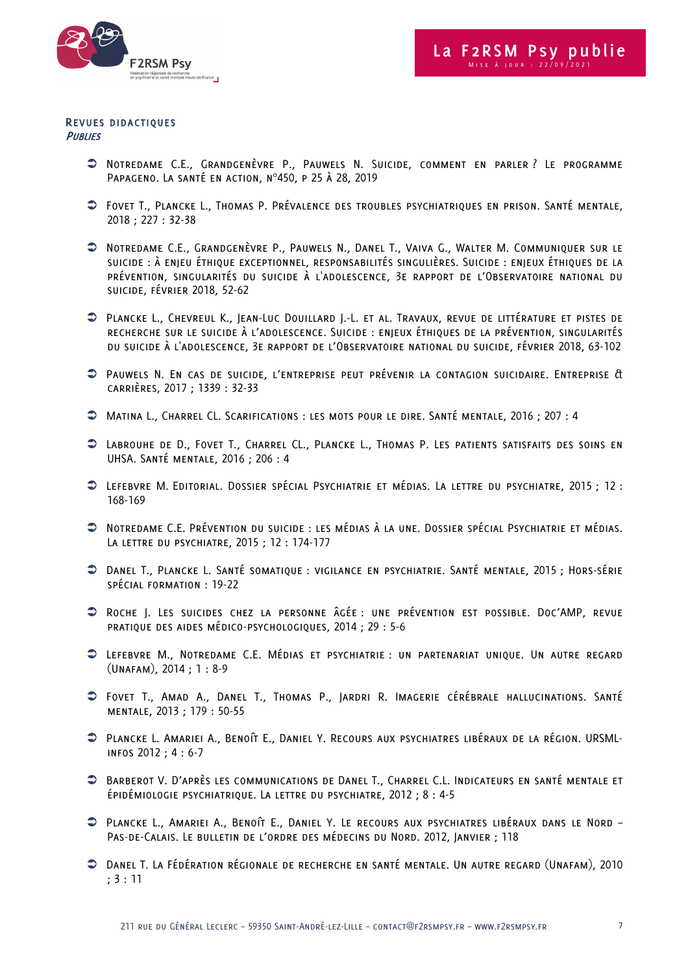

#### REVUES DIDACTIQUES **PUBLIES**

- Ü Notredame C.E., Grandgenèvre P., Pauwels N. Suicide, comment en parler ? Le programme Papageno. La santé en action, n°450, p 25 à 28, 2019
- Ü Fovet T., Plancke L., Thomas P. Prévalence des troubles psychiatriques en prison. Santé mentale, 2018 ; 227 : 32-38
- Ü Notredame C.E., Grandgenèvre P., Pauwels N., Danel T., Vaiva G., Walter M. Communiquer sur le suicide : à enjeu éthique exceptionnel, responsabilités singulières. Suicide : enjeux éthiques de la prévention, singularités du suicide à l'adolescence, 3e rapport de l'Observatoire national du suicide, février 2018, 52-62
- Ü Plancke L., Chevreul K., Jean-Luc Douillard J.-L. et al. Travaux, revue de littérature et pistes de recherche sur le suicide à l'adolescence. Suicide : enjeux éthiques de la prévention, singularités du suicide à l'adolescence, 3e rapport de l'Observatoire national du suicide, février 2018, 63-102
- Ü Pauwels N. En cas de suicide, l'entreprise peut prévenir la contagion suicidaire. Entreprise & carrières, 2017 ; 1339 : 32-33
- Ü Matina L., Charrel CL. Scarifications : les mots pour le dire. Santé mentale, 2016 ; 207 : 4
- Ü Labrouhe de D., Fovet T., Charrel CL., Plancke L., Thomas P. Les patients satisfaits des soins en UHSA. Santé mentale, 2016 ; 206 : 4
- Ü Lefebvre M. Editorial. Dossier spécial Psychiatrie et médias. La lettre du psychiatre, 2015 ; 12 : 168-169
- Ü Notredame C.E. Prévention du suicide : les médias à la une. Dossier spécial Psychiatrie et médias. La lettre du psychiatre, 2015 ; 12 : 174-177
- Ü Danel T., Plancke L. Santé somatique : vigilance en psychiatrie. Santé mentale, 2015 ; Hors-série spécial formation : 19-22
- Ü Roche J. Les suicides chez la personne âgée : une prévention est possible. Doc'AMP, revue pratique des aides médico-psychologiques, 2014 ; 29 : 5-6
- Ü Lefebvre M., Notredame C.E. Médias et psychiatrie : un partenariat unique. Un autre regard (Unafam), 2014 ; 1 : 8-9
- Ü Fovet T., Amad A., Danel T., Thomas P., Jardri R. Imagerie cérébrale hallucinations. Santé mentale, 2013 ; 179 : 50-55
- Ü Plancke L. Amariei A., Benoît E., Daniel Y. Recours aux psychiatres libéraux de la région. URSMLinfos 2012 ; 4 : 6-7
- Ü Barberot V. D'après les communications de Danel T., Charrel C.L. Indicateurs en santé mentale et épidémiologie psychiatrique. La lettre du psychiatre, 2012 ; 8 : 4-5
- Ü Plancke L., Amariei A., Benoît E., Daniel Y. Le recours aux psychiatres libéraux dans le Nord Pas-de-Calais. Le bulletin de l'ordre des médecins du Nord. 2012, Janvier ; 118
- Ü Danel T. La Fédération régionale de recherche en santé mentale. Un autre regard (Unafam), 2010 ; 3 : 11